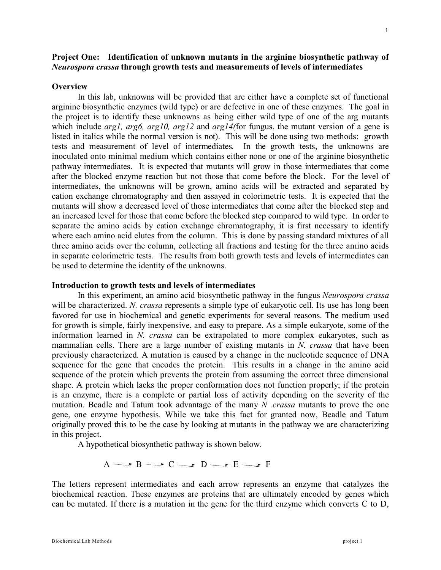# **Project One: Identification of unknown mutants in the arginine biosynthetic pathway of** *Neurospora crassa* **through growth tests and measurements of levels of intermediates**

#### **Overview**

In this lab, unknowns will be provided that are either have a complete set of functional arginine biosynthetic enzymes (wild type) or are defective in one of these enzymes. The goal in the project is to identify these unknowns as being either wild type of one of the arg mutants which include *arg1, arg6, arg10, arg12* and *arg14(*for fungus, the mutant version of a gene is listed in italics while the normal version is not). This will be done using two methods: growth tests and measurement of level of intermediates. In the growth tests, the unknowns are inoculated onto minimal medium which contains either none or one of the arginine biosynthetic pathway intermediates. It is expected that mutants will grow in those intermediates that come after the blocked enzyme reaction but not those that come before the block. For the level of intermediates, the unknowns will be grown, amino acids will be extracted and separated by cation exchange chromatography and then assayed in colorimetric tests. It is expected that the mutants will show a decreased level of those intermediates that come after the blocked step and an increased level for those that come before the blocked step compared to wild type. In order to separate the amino acids by cation exchange chromatography, it is first necessary to identify where each amino acid elutes from the column. This is done by passing standard mixtures of all three amino acids over the column, collecting all fractions and testing for the three amino acids in separate colorimetric tests. The results from both growth tests and levels of intermediates can be used to determine the identity of the unknowns.

#### **Introduction to growth tests and levels of intermediates**

In this experiment, an amino acid biosynthetic pathway in the fungus *Neurospora crassa* will be characterized. *N. crassa* represents a simple type of eukaryotic cell. Its use has long been favored for use in biochemical and genetic experiments for several reasons. The medium used for growth is simple, fairly inexpensive, and easy to prepare. As a simple eukaryote, some of the information learned in *N. crassa* can be extrapolated to more complex eukaryotes, such as mammalian cells. There are a large number of existing mutants in *N. crassa* that have been previously characterized*.* A mutation is caused by a change in the nucleotide sequence of DNA sequence for the gene that encodes the protein. This results in a change in the amino acid sequence of the protein which prevents the protein from assuming the correct three dimensional shape. A protein which lacks the proper conformation does not function properly; if the protein is an enzyme, there is a complete or partial loss of activity depending on the severity of the mutation. Beadle and Tatum took advantage of the many *N .crassa* mutants to prove the one gene, one enzyme hypothesis. While we take this fact for granted now, Beadle and Tatum originally proved this to be the case by looking at mutants in the pathway we are characterizing in this project.

A hypothetical biosynthetic pathway is shown below.

 $A \longrightarrow B \longrightarrow C \longrightarrow D \longrightarrow E \longrightarrow F$ 

The letters represent intermediates and each arrow represents an enzyme that catalyzes the biochemical reaction. These enzymes are proteins that are ultimately encoded by genes which can be mutated. If there is a mutation in the gene for the third enzyme which converts C to D,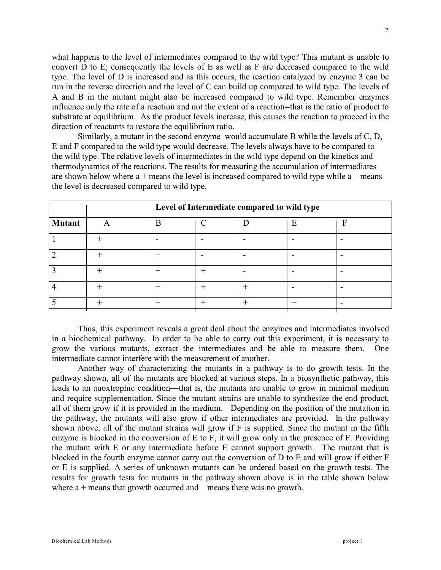what happens to the level of intermediates compared to the wild type? This mutant is unable to convert D to E; consequently the levels of E as well as F are decreased compared to the wild type. The level of D is increased and as this occurs, the reaction catalyzed by enzyme 3 can be run in the reverse direction and the level of C can build up compared to wild type. The levels of A and B in the mutant might also be increased compared to wild type. Remember enzymes influence only the rate of a reaction and not the extent of a reaction--that is the ratio of product to substrate at equilibrium. As the product levels increase, this causes the reaction to proceed in the direction of reactants to restore the equilibrium ratio.

Similarly, a mutant in the second enzyme would accumulate B while the levels of C, D, E and F compared to the wild type would decrease. The levels always have to be compared to the wild type. The relative levels of intermediates in the wild type depend on the kinetics and thermodynamics of the reactions. The results for measuring the accumulation of intermediates are shown below where  $a +$  means the level is increased compared to wild type while  $a -$  means the level is decreased compared to wild type.

|               | Level of Intermediate compared to wild type |   |  |  |   |  |
|---------------|---------------------------------------------|---|--|--|---|--|
| <b>Mutant</b> |                                             | R |  |  | E |  |
|               |                                             |   |  |  |   |  |
|               |                                             |   |  |  |   |  |
|               |                                             |   |  |  |   |  |
|               |                                             |   |  |  |   |  |
|               |                                             |   |  |  |   |  |

Thus, this experiment reveals a great deal about the enzymes and intermediates involved in a biochemical pathway. In order to be able to carry out this experiment, it is necessary to grow the various mutants, extract the intermediates and be able to measure them. One intermediate cannot interfere with the measurement of another.

Another way of characterizing the mutants in a pathway is to do growth tests. In the pathway shown, all of the mutants are blocked at various steps. In a biosynthetic pathway, this leads to an auoxtrophic condition—that is, the mutants are unable to grow in minimal medium and require supplementation. Since the mutant strains are unable to synthesize the end product, all of them grow if it is provided in the medium. Depending on the position of the mutation in the pathway, the mutants will also grow if other intermediates are provided. In the pathway shown above, all of the mutant strains will grow if F is supplied. Since the mutant in the fifth enzyme is blocked in the conversion of E to F, it will grow only in the presence of F. Providing the mutant with E or any intermediate before E cannot support growth. The mutant that is blocked in the fourth enzyme cannot carry out the conversion of D to E and will grow if either F or E is supplied. A series of unknown mutants can be ordered based on the growth tests. The results for growth tests for mutants in the pathway shown above is in the table shown below where  $a +$  means that growth occurred and – means there was no growth.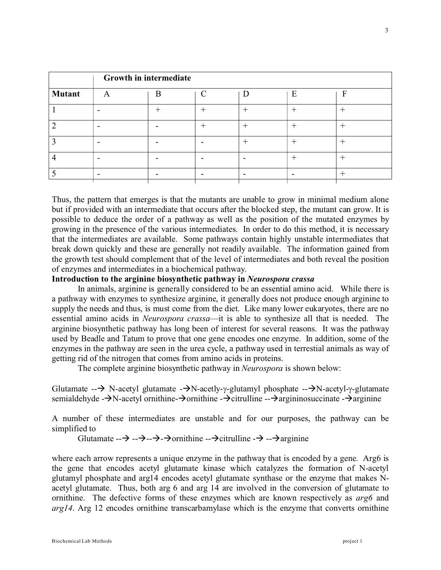|               | Growth in intermediate |   |        |        |   |   |
|---------------|------------------------|---|--------|--------|---|---|
| <b>Mutant</b> | А                      | B |        |        | E | F |
|               | -                      |   |        | $^{+}$ |   |   |
|               |                        |   | $^{+}$ | $^{+}$ |   |   |
|               | -                      |   | -      | $^{+}$ |   |   |
|               |                        |   |        |        |   |   |
|               | -                      |   |        | ۰      |   |   |

Thus, the pattern that emerges is that the mutants are unable to grow in minimal medium alone but if provided with an intermediate that occurs after the blocked step, the mutant can grow. It is possible to deduce the order of a pathway as well as the position of the mutated enzymes by growing in the presence of the various intermediates. In order to do this method, it is necessary that the intermediates are available. Some pathways contain highly unstable intermediates that break down quickly and these are generally not readily available. The information gained from the growth test should complement that of the level of intermediates and both reveal the position of enzymes and intermediates in a biochemical pathway.

# **Introduction to the arginine biosynthetic pathway in** *Neurospora crassa*

In animals, arginine is generally considered to be an essential amino acid. While there is a pathway with enzymes to synthesize arginine, it generally does not produce enough arginine to supply the needs and thus, is must come from the diet. Like many lower eukaryotes, there are no essential amino acids in *Neurospora crassa*—it is able to synthesize all that is needed. The arginine biosynthetic pathway has long been of interest for several reasons. It was the pathway used by Beadle and Tatum to prove that one gene encodes one enzyme. In addition, some of the enzymes in the pathway are seen in the urea cycle, a pathway used in terrestial animals as way of getting rid of the nitrogen that comes from amino acids in proteins.

The complete arginine biosynthetic pathway in *Neurospora* is shown below:

Glutamate  $-\rightarrow$  N-acetyl glutamate  $-\rightarrow$ N-acetly- -glutamyl phosphate  $-\rightarrow$ N-acetyl- -glutamate semialdehyde - $\rightarrow$ N-acetyl ornithine - $\rightarrow$ ornithine - $\rightarrow$ citrulline -- $\rightarrow$ argininosuccinate - $\rightarrow$ arginine

A number of these intermediates are unstable and for our purposes, the pathway can be simplified to

Glutamate  $\rightarrow -\rightarrow -\rightarrow -\rightarrow$  ornithine  $\rightarrow$   $\rightarrow$  citrulline  $\rightarrow -\rightarrow$  arginine

where each arrow represents a unique enzyme in the pathway that is encoded by a gene. Arg6 is the gene that encodes acetyl glutamate kinase which catalyzes the formation of N-acetyl glutamyl phosphate and arg14 encodes acetyl glutamate synthase or the enzyme that makes Nacetyl glutamate. Thus, both arg 6 and arg 14 are involved in the conversion of glutamate to ornithine. The defective forms of these enzymes which are known respectively as *arg6* and *arg14*. Arg 12 encodes ornithine transcarbamylase which is the enzyme that converts ornithine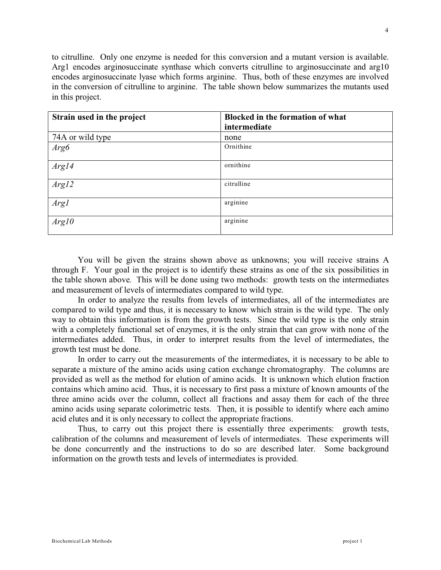to citrulline. Only one enzyme is needed for this conversion and a mutant version is available. Arg1 encodes arginosuccinate synthase which converts citrulline to arginosuccinate and arg10 encodes arginosuccinate lyase which forms arginine. Thus, both of these enzymes are involved in the conversion of citrulline to arginine. The table shown below summarizes the mutants used in this project.

| Strain used in the project | <b>Blocked in the formation of what</b> |
|----------------------------|-----------------------------------------|
|                            | intermediate                            |
| 74A or wild type           | none                                    |
| Arg6                       | Ornithine                               |
| Arg14                      | ornithine                               |
| Arg12                      | citrulline                              |
| Arg1                       | arginine                                |
| Arg10                      | arginine                                |

You will be given the strains shown above as unknowns; you will receive strains A through F. Your goal in the project is to identify these strains as one of the six possibilities in the table shown above. This will be done using two methods: growth tests on the intermediates and measurement of levels of intermediates compared to wild type.

In order to analyze the results from levels of intermediates, all of the intermediates are compared to wild type and thus, it is necessary to know which strain is the wild type. The only way to obtain this information is from the growth tests. Since the wild type is the only strain with a completely functional set of enzymes, it is the only strain that can grow with none of the intermediates added. Thus, in order to interpret results from the level of intermediates, the growth test must be done.

In order to carry out the measurements of the intermediates, it is necessary to be able to separate a mixture of the amino acids using cation exchange chromatography. The columns are provided as well as the method for elution of amino acids. It is unknown which elution fraction contains which amino acid. Thus, it is necessary to first pass a mixture of known amounts of the three amino acids over the column, collect all fractions and assay them for each of the three amino acids using separate colorimetric tests. Then, it is possible to identify where each amino acid elutes and it is only necessary to collect the appropriate fractions.

Thus, to carry out this project there is essentially three experiments: growth tests, calibration of the columns and measurement of levels of intermediates. These experiments will be done concurrently and the instructions to do so are described later. Some background information on the growth tests and levels of intermediates is provided.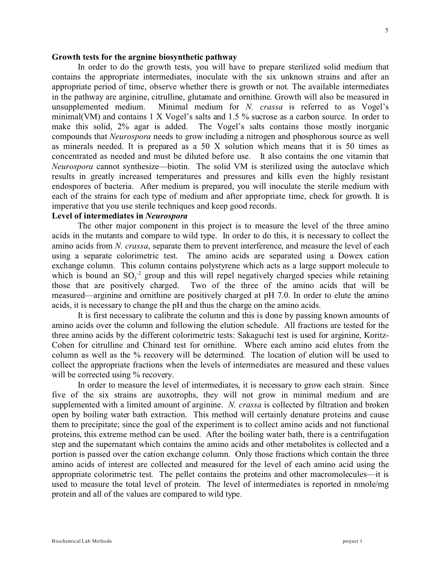#### **Growth tests for the argnine biosynthetic pathway**

In order to do the growth tests, you will have to prepare sterilized solid medium that contains the appropriate intermediates, inoculate with the six unknown strains and after an appropriate period of time, observe whether there is growth or not*.* The available intermediates in the pathway are arginine, citrulline, glutamate and ornithine. Growth will also be measured in unsupplemented medium. Minimal medium for *N. crassa* is referred to as Vogel's minimal(VM) and contains 1 X Vogel's salts and 1.5 % sucrose as a carbon source. In order to make this solid, 2% agar is added. The Vogel's salts contains those mostly inorganic compounds that *Neurospora* needs to grow including a nitrogen and phosphorous source as well as minerals needed. It is prepared as a 50 X solution which means that it is 50 times as concentrated as needed and must be diluted before use. It also contains the one vitamin that *Neurospora* cannot synthesize—biotin. The solid VM is sterilized using the autoclave which results in greatly increased temperatures and pressures and kills even the highly resistant endospores of bacteria. After medium is prepared, you will inoculate the sterile medium with each of the strains for each type of medium and after appropriate time, check for growth. It is imperative that you use sterile techniques and keep good records.

# **Level of intermediates in** *Neurospora*

The other major component in this project is to measure the level of the three amino acids in the mutants and compare to wild type. In order to do this, it is necessary to collect the amino acids from *N. crassa*, separate them to prevent interference, and measure the level of each using a separate colorimetric test. The amino acids are separated using a Dowex cation exchange column. This column contains polystyrene which acts as a large support molecule to which is bound an  $SO_3^2$  group and this will repel negatively charged species while retaining those that are positively charged. Two of the three of the amino acids that will be measured—arginine and ornithine are positively charged at pH 7.0. In order to elute the amino acids, it is necessary to change the pH and thus the charge on the amino acids.

It is first necessary to calibrate the column and this is done by passing known amounts of amino acids over the column and following the elution schedule. All fractions are tested for the three amino acids by the different colorimetric tests: Sakaguchi test is used for arginine, Koritz-Cohen for citrulline and Chinard test for ornithine. Where each amino acid elutes from the column as well as the % recovery will be determined. The location of elution will be used to collect the appropriate fractions when the levels of intermediates are measured and these values will be corrected using % recovery.

In order to measure the level of intermediates, it is necessary to grow each strain. Since five of the six strains are auxotrophs, they will not grow in minimal medium and are supplemented with a limited amount of arginine. *N. crassa* is collected by filtration and broken open by boiling water bath extraction. This method will certainly denature proteins and cause them to precipitate; since the goal of the experiment is to collect amino acids and not functional proteins, this extreme method can be used. After the boiling water bath, there is a centrifugation step and the supernatant which contains the amino acids and other metabolites is collected and a portion is passed over the cation exchange column. Only those fractions which contain the three amino acids of interest are collected and measured for the level of each amino acid using the appropriate colorimetric test. The pellet contains the proteins and other macromolecules—it is used to measure the total level of protein. The level of intermediates is reported in nmole/mg protein and all of the values are compared to wild type.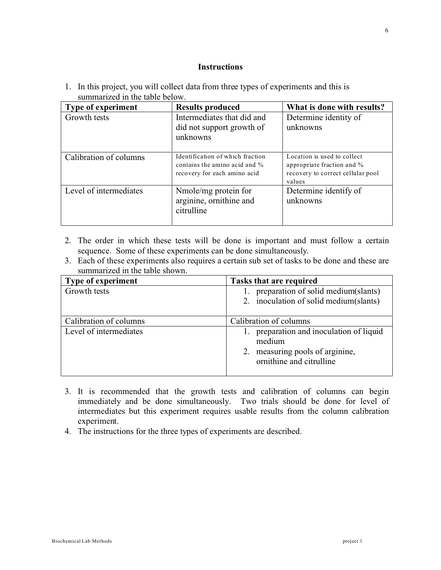### **Instructions**

1. In this project, you will collect data from three types of experiments and this is summarized in the table below.

| <b>Type of experiment</b> | <b>Results produced</b>                                                                           | What is done with results?                                                                               |
|---------------------------|---------------------------------------------------------------------------------------------------|----------------------------------------------------------------------------------------------------------|
| Growth tests              | Intermediates that did and<br>did not support growth of<br>unknowns                               | Determine identity of<br>unknowns                                                                        |
| Calibration of columns    | Identification of which fraction<br>contains the amino acid and %<br>recovery for each amino acid | Location is used to collect<br>appropriate fraction and %<br>recovery to correct cellular pool<br>values |
| Level of intermediates    | Nmole/mg protein for<br>arginine, ornithine and<br>citrulline                                     | Determine identify of<br>unknowns                                                                        |

- 2. The order in which these tests will be done is important and must follow a certain sequence. Some of these experiments can be done simultaneously.
- 3. Each of these experiments also requires a certain sub set of tasks to be done and these are summarized in the table shown.

| <b>Type of experiment</b> | <b>Tasks that are required</b>                                 |  |  |  |
|---------------------------|----------------------------------------------------------------|--|--|--|
| Growth tests              | preparation of solid medium (slants)                           |  |  |  |
|                           | 2. inoculation of solid medium (slants)                        |  |  |  |
| Calibration of columns    | Calibration of columns                                         |  |  |  |
| Level of intermediates    | 1. preparation and inoculation of liquid<br>medium             |  |  |  |
|                           | measuring pools of arginine,<br>2.<br>ornithine and citrulline |  |  |  |

- 3. It is recommended that the growth tests and calibration of columns can begin immediately and be done simultaneously. Two trials should be done for level of intermediates but this experiment requires usable results from the column calibration experiment.
- 4. The instructions for the three types of experiments are described.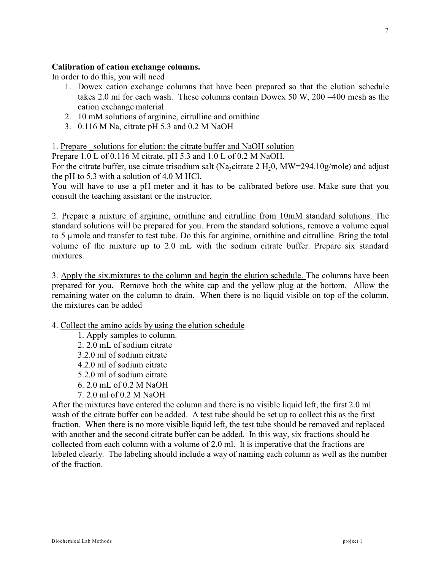### **Calibration of cation exchange columns.**

In order to do this, you will need

- 1. Dowex cation exchange columns that have been prepared so that the elution schedule takes 2.0 ml for each wash. These columns contain Dowex 50 W, 200 –400 mesh as the cation exchange material.
- 2. 10 mM solutions of arginine, citrulline and ornithine
- 3.  $0.116$  M Na<sub>3</sub> citrate pH 5.3 and 0.2 M NaOH

1. Prepare solutions for elution: the citrate buffer and NaOH solution

Prepare 1.0 L of 0.116 M citrate, pH 5.3 and 1.0 L of 0.2 M NaOH.

For the citrate buffer, use citrate trisodium salt (Na<sub>3</sub>citrate 2 H<sub>2</sub>0, MW=294.10g/mole) and adjust the pH to 5.3 with a solution of 4.0 M HCl.

You will have to use a pH meter and it has to be calibrated before use. Make sure that you consult the teaching assistant or the instructor.

2. Prepare a mixture of arginine, ornithine and citrulline from 10mM standard solutions. The standard solutions will be prepared for you. From the standard solutions, remove a volume equal to 5  $\mu$  mole and transfer to test tube. Do this for arginine, ornithine and citrulline. Bring the total volume of the mixture up to 2.0 mL with the sodium citrate buffer. Prepare six standard mixtures.

3. Apply the six.mixtures to the column and begin the elution schedule. The columns have been prepared for you. Remove both the white cap and the yellow plug at the bottom. Allow the remaining water on the column to drain. When there is no liquid visible on top of the column, the mixtures can be added

4. Collect the amino acids by using the elution schedule

1. Apply samples to column. 2. 2.0 mL of sodium citrate 3.2.0 ml of sodium citrate 4.2.0 ml of sodium citrate 5.2.0 ml of sodium citrate 6. 2.0 mL of 0.2 M NaOH 7. 2.0 ml of 0.2 M NaOH

After the mixtures have entered the column and there is no visible liquid left, the first 2.0 ml wash of the citrate buffer can be added. A test tube should be set up to collect this as the first fraction. When there is no more visible liquid left, the test tube should be removed and replaced with another and the second citrate buffer can be added. In this way, six fractions should be collected from each column with a volume of 2.0 ml. It is imperative that the fractions are labeled clearly. The labeling should include a way of naming each column as well as the number of the fraction.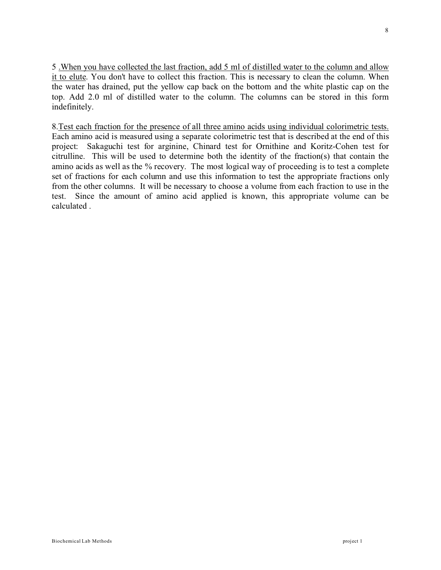5 .When you have collected the last fraction, add 5 ml of distilled water to the column and allow it to elute. You don't have to collect this fraction. This is necessary to clean the column. When the water has drained, put the yellow cap back on the bottom and the white plastic cap on the top. Add 2.0 ml of distilled water to the column. The columns can be stored in this form indefinitely.

8.Test each fraction for the presence of all three amino acids using individual colorimetric tests. Each amino acid is measured using a separate colorimetric test that is described at the end of this project: Sakaguchi test for arginine, Chinard test for Ornithine and Koritz-Cohen test for citrulline. This will be used to determine both the identity of the fraction(s) that contain the amino acids as well as the % recovery. The most logical way of proceeding is to test a complete set of fractions for each column and use this information to test the appropriate fractions only from the other columns. It will be necessary to choose a volume from each fraction to use in the test. Since the amount of amino acid applied is known, this appropriate volume can be calculated .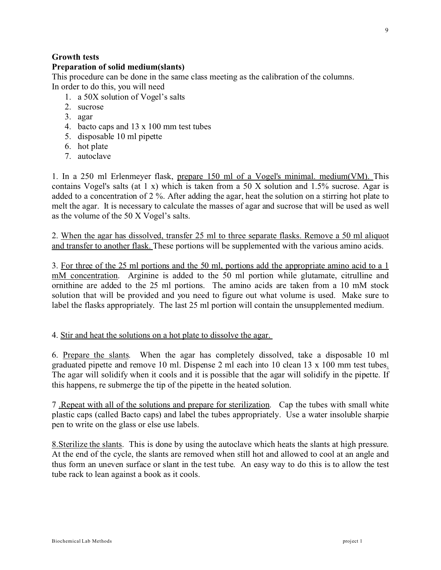# **Growth tests**

### **Preparation of solid medium(slants)**

This procedure can be done in the same class meeting as the calibration of the columns. In order to do this, you will need

- 1. a 50X solution of Vogel's salts
- 2. sucrose
- 3. agar
- 4. bacto caps and 13 x 100 mm test tubes
- 5. disposable 10 ml pipette
- 6. hot plate
- 7. autoclave

1. In a 250 ml Erlenmeyer flask, prepare 150 ml of a Vogel's minimal. medium(VM). This contains Vogel's salts (at 1 x) which is taken from a 50 X solution and 1.5% sucrose. Agar is added to a concentration of 2 %. After adding the agar, heat the solution on a stirring hot plate to melt the agar. It is necessary to calculate the masses of agar and sucrose that will be used as well as the volume of the 50 X Vogel's salts.

2. When the agar has dissolved, transfer 25 ml to three separate flasks. Remove a 50 ml aliquot and transfer to another flask. These portions will be supplemented with the various amino acids.

3. For three of the 25 ml portions and the 50 ml, portions add the appropriate amino acid to a 1 mM concentration. Arginine is added to the 50 ml portion while glutamate, citrulline and ornithine are added to the 25 ml portions. The amino acids are taken from a 10 mM stock solution that will be provided and you need to figure out what volume is used. Make sure to label the flasks appropriately. The last 25 ml portion will contain the unsupplemented medium.

### 4. Stir and heat the solutions on a hot plate to dissolve the agar.

6. Prepare the slants. When the agar has completely dissolved, take a disposable 10 ml graduated pipette and remove 10 ml. Dispense 2 ml each into 10 clean 13 x 100 mm test tubes. The agar will solidify when it cools and it is possible that the agar will solidify in the pipette. If this happens, re submerge the tip of the pipette in the heated solution.

7 .Repeat with all of the solutions and prepare for sterilization. Cap the tubes with small white plastic caps (called Bacto caps) and label the tubes appropriately. Use a water insoluble sharpie pen to write on the glass or else use labels.

8.Sterilize the slants. This is done by using the autoclave which heats the slants at high pressure. At the end of the cycle, the slants are removed when still hot and allowed to cool at an angle and thus form an uneven surface or slant in the test tube. An easy way to do this is to allow the test tube rack to lean against a book as it cools.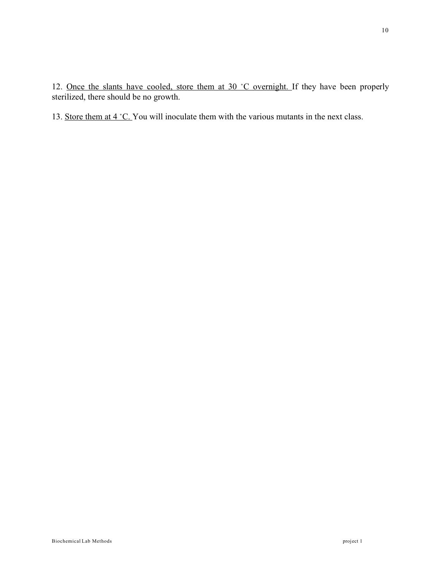12. Once the slants have cooled, store them at  $30 °C$  overnight. If they have been properly sterilized, there should be no growth.

13. Store them at  $4 \text{ }^{\circ}$ C. You will inoculate them with the various mutants in the next class.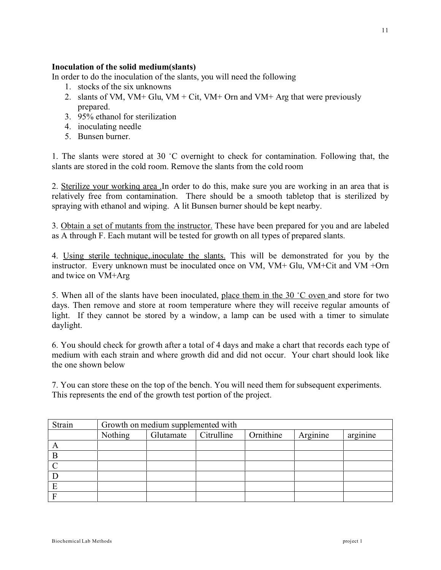## **Inoculation of the solid medium(slants)**

In order to do the inoculation of the slants, you will need the following

- 1. stocks of the six unknowns
- 2. slants of VM, VM+ Glu, VM + Cit, VM+ Orn and VM+ Arg that were previously prepared.
- 3. 95% ethanol for sterilization
- 4. inoculating needle
- 5. Bunsen burner.

1. The slants were stored at 30  $^{\circ}$ C overnight to check for contamination. Following that, the slants are stored in the cold room. Remove the slants from the cold room

2. Sterilize your workinq area .In order to do this, make sure you are working in an area that is relatively free from contamination. There should be a smooth tabletop that is sterilized by spraying with ethanol and wiping. A lit Bunsen burner should be kept nearby.

3. Obtain a set of mutants from the instructor. These have been prepared for you and are labeled as A through F. Each mutant will be tested for growth on all types of prepared slants.

4. Using sterile technique,.inoculate the slants. This will be demonstrated for you by the instructor. Every unknown must be inoculated once on VM, VM+ Glu, VM+Cit and VM +Orn and twice on VM+Arg

5. When all of the slants have been inoculated, place them in the 30  $\degree$ C oven and store for two days. Then remove and store at room temperature where they will receive regular amounts of light. If they cannot be stored by a window, a lamp can be used with a timer to simulate daylight.

6. You should check for growth after a total of 4 days and make a chart that records each type of medium with each strain and where growth did and did not occur. Your chart should look like the one shown below

7. You can store these on the top of the bench. You will need them for subsequent experiments. This represents the end of the growth test portion of the project.

| Strain | Growth on medium supplemented with |           |            |           |          |          |
|--------|------------------------------------|-----------|------------|-----------|----------|----------|
|        | Nothing                            | Glutamate | Citrulline | Ornithine | Arginine | arginine |
| А      |                                    |           |            |           |          |          |
| B      |                                    |           |            |           |          |          |
|        |                                    |           |            |           |          |          |
|        |                                    |           |            |           |          |          |
| E      |                                    |           |            |           |          |          |
|        |                                    |           |            |           |          |          |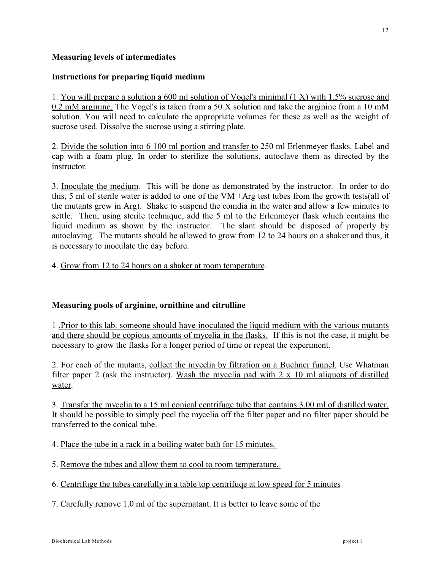# **Measuring levels of intermediates**

# **Instructions for preparing liquid medium**

1. You will prepare a solution a 600 ml solution of Voqel's minimal (1 X) with 1.5% sucrose and 0.2 mM arginine. The Vogel's is taken from a 50 X solution and take the arginine from a 10 mM solution. You will need to calculate the appropriate volumes for these as well as the weight of sucrose used. Dissolve the sucrose using a stirring plate.

2. Divide the solution into 6 100 ml portion and transfer to 250 ml Erlenmeyer flasks. Label and cap with a foam plug. In order to sterilize the solutions, autoclave them as directed by the instructor.

3. Inoculate the medium. This will be done as demonstrated by the instructor. In order to do this, 5 ml of sterile water is added to one of the VM +Arg test tubes from the growth tests(all of the mutants grew in Arg). Shake to suspend the conidia in the water and allow a few minutes to settle. Then, using sterile technique, add the 5 ml to the Erlenmeyer flask which contains the liquid medium as shown by the instructor. The slant should be disposed of properly by autoclaving. The mutants should be allowed to grow from 12 to 24 hours on a shaker and thus, it is necessary to inoculate the day before.

# 4. Grow from 12 to 24 hours on a shaker at room temperature.

# **Measuring pools of arginine, ornithine and citrulline**

1 .Prior to this lab. someone should have inoculated the liquid medium with the various mutants and there should be copious amounts of mycelia in the flasks. If this is not the case, it might be necessary to grow the flasks for a longer period of time or repeat the experiment.

2. For each of the mutants, collect the mycelia by filtration on a Buchner funnel. Use Whatman filter paper 2 (ask the instructor). Wash the mycelia pad with  $2 \times 10$  ml aliquots of distilled water.

3. Transfer the mycelia to a 15 ml conical centrifuge tube that contains 3.00 ml of distilled water. It should be possible to simply peel the mycelia off the filter paper and no filter paper should be transferred to the conical tube.

- 4. Place the tube in a rack in a boiling water bath for 15 minutes.
- 5. Remove the tubes and allow them to cool to room temperature.
- 6. Centrifuge the tubes carefully in a table top centrifuqe at low speed for 5 minutes
- 7. Carefully remove 1.0 ml of the supernatant. It is better to leave some of the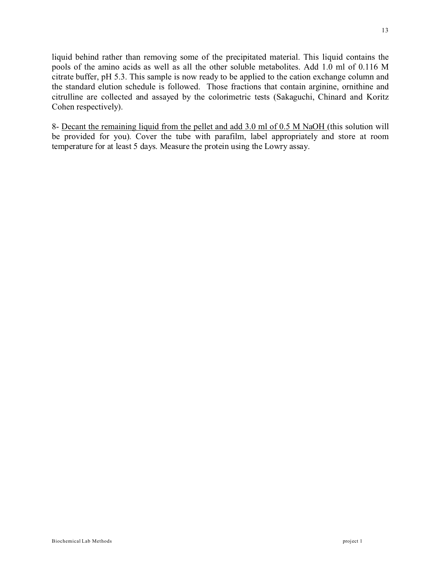liquid behind rather than removing some of the precipitated material. This liquid contains the pools of the amino acids as well as all the other soluble metabolites. Add 1.0 ml of 0.116 M citrate buffer, pH 5.3. This sample is now ready to be applied to the cation exchange column and the standard elution schedule is followed. Those fractions that contain arginine, ornithine and citrulline are collected and assayed by the colorimetric tests (Sakaguchi, Chinard and Koritz Cohen respectively).

8- Decant the remaining liquid from the pellet and add 3.0 ml of 0.5 M NaOH (this solution will be provided for you). Cover the tube with parafilm, label appropriately and store at room temperature for at least 5 days. Measure the protein using the Lowry assay.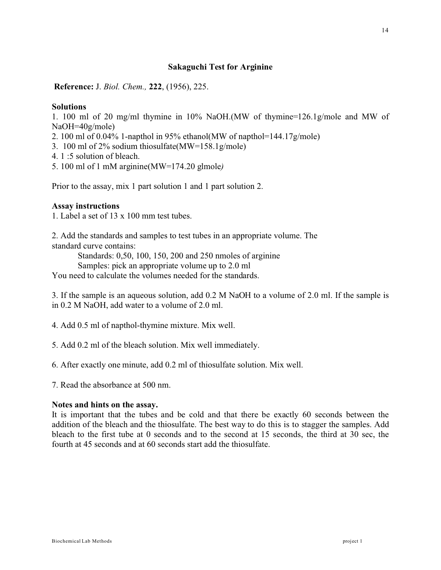### **Sakaguchi Test for Arginine**

**Reference:** J. *Biol. Chem.,* **222**, (1956), 225.

### **Solutions**

1. 100 ml of 20 mg/ml thymine in 10% NaOH.(MW of thymine=126.1g/mole and MW of NaOH=40g/mole)

- 2. 100 ml of 0.04% 1-napthol in 95% ethanol(MW of napthol=144.17g/mole)
- 3. 100 ml of 2% sodium thiosulfate(MW=158.1g/mole)
- 4. 1 :5 solution of bleach.
- 5. 100 ml of 1 mM arginine(MW=174.20 glmole*)*

Prior to the assay, mix 1 part solution 1 and 1 part solution 2.

### **Assay instructions**

1. Label a set of 13 x 100 mm test tubes.

2. Add the standards and samples to test tubes in an appropriate volume. The standard curve contains:

Standards: 0,50, 100, 150, 200 and 250 nmoles of arginine

Samples: pick an appropriate volume up to 2.0 ml

You need to calculate the volumes needed for the standards.

3. If the sample is an aqueous solution, add 0.2 M NaOH to a volume of 2.0 ml. If the sample is in 0.2 M NaOH, add water to a volume of 2.0 ml.

4. Add 0.5 ml of napthol-thymine mixture. Mix well.

5. Add 0.2 ml of the bleach solution. Mix well immediately.

6. After exactly one minute, add 0.2 ml of thiosulfate solution. Mix well.

7. Read the absorbance at 500 nm.

### **Notes and hints on the assay.**

It is important that the tubes and be cold and that there be exactly 60 seconds between the addition of the bleach and the thiosulfate. The best way to do this is to stagger the samples. Add bleach to the first tube at 0 seconds and to the second at 15 seconds, the third at 30 sec, the fourth at 45 seconds and at 60 seconds start add the thiosulfate.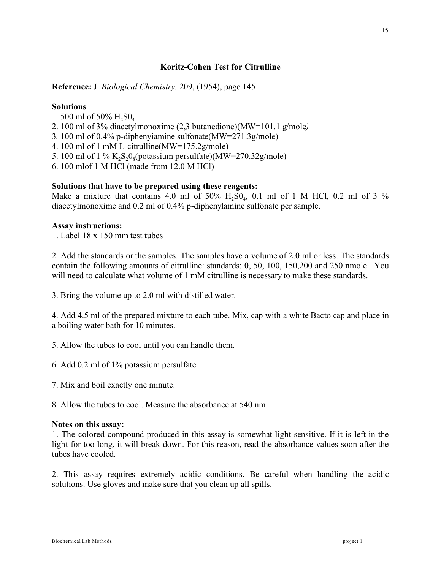# **Koritz-Cohen Test for Citrulline**

**Reference:** J. *Biological Chemistry,* 209, (1954), page 145

### **Solutions**

- 1. 500 ml of 50%  $H_2$ SO<sub>4</sub>
- 2. 100 ml of 3% diacetylmonoxime (2,3 butanedione)(MW=101.1 g/mole*)*
- 3*.* 100 ml of 0.4% p-diphenyiamine sulfonate(MW=271.3g/mole)
- 4. 100 ml of 1 mM L-citrulline(MW=175.2g/mole)
- 5. 100 ml of 1 %  $K_2S_2O_8(potassium persulfate)(MW=270.32g/mole)$
- 6. 100 mlof 1 M HCl (made from 12.0 M HCl)

### **Solutions that have to be prepared using these reagents:**

Make a mixture that contains 4.0 ml of  $50\%$   $H_2SO_4$ , 0.1 ml of 1 M HCl, 0.2 ml of 3  $\%$ diacetylmonoxime and 0.2 ml of 0.4% p-diphenylamine sulfonate per sample.

#### **Assay instructions:**

1. Label 18 x 150 mm test tubes

2. Add the standards or the samples. The samples have a volume of 2.0 ml or less. The standards contain the following amounts of citrulline: standards: 0, 50, 100, 150,200 and 250 nmole. You will need to calculate what volume of 1 mM citrulline is necessary to make these standards.

3. Bring the volume up to 2.0 ml with distilled water.

4. Add 4.5 ml of the prepared mixture to each tube. Mix, cap with a white Bacto cap and place in a boiling water bath for 10 minutes.

- 5. Allow the tubes to cool until you can handle them.
- 6. Add 0.2 ml of 1% potassium persulfate
- 7. Mix and boil exactly one minute.

8. Allow the tubes to cool. Measure the absorbance at 540 nm.

#### **Notes on this assay:**

1. The colored compound produced in this assay is somewhat light sensitive. If it is left in the light for too long, it will break down. For this reason, read the absorbance values soon after the tubes have cooled.

2. This assay requires extremely acidic conditions. Be careful when handling the acidic solutions. Use gloves and make sure that you clean up all spills.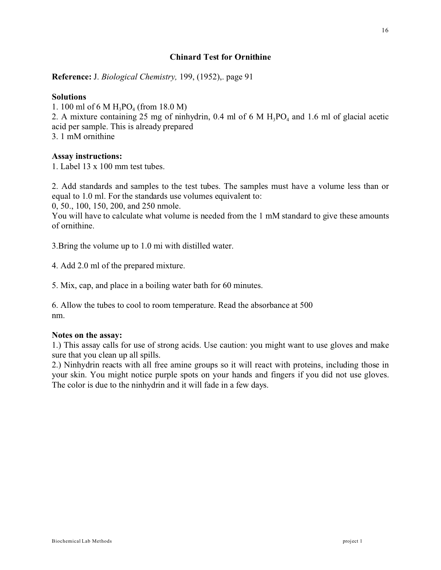# **Chinard Test for Ornithine**

**Reference:** J. *Biological Chemistry,* 199, (1952),. page 91

### **Solutions**

1. 100 ml of 6 M  $H_3PO_4$  (from 18.0 M)

2. A mixture containing 25 mg of ninhydrin, 0.4 ml of 6 M  $H_3PO_4$  and 1.6 ml of glacial acetic acid per sample. This is already prepared

3. 1 mM ornithine

### **Assay instructions:**

1. Label 13 x 100 mm test tubes.

2. Add standards and samples to the test tubes. The samples must have a volume less than or equal to 1.0 ml. For the standards use volumes equivalent to:

0, 50., 100, 150, 200, and 250 nmole.

You will have to calculate what volume is needed from the 1 mM standard to give these amounts of ornithine.

3.Bring the volume up to 1.0 mi with distilled water.

4. Add 2.0 ml of the prepared mixture.

5. Mix, cap, and place in a boiling water bath for 60 minutes.

6. Allow the tubes to cool to room temperature. Read the absorbance at 500 nm.

### **Notes on the assay:**

1.) This assay calls for use of strong acids. Use caution: you might want to use gloves and make sure that you clean up all spills.

2.) Ninhydrin reacts with all free amine groups so it will react with proteins, including those in your skin. You might notice purple spots on your hands and fingers if you did not use gloves. The color is due to the ninhydrin and it will fade in a few days.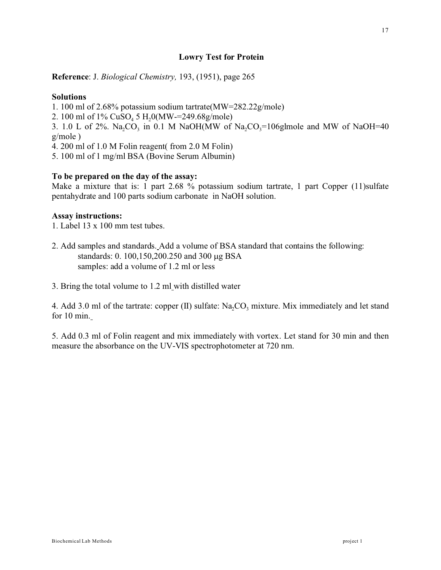# **Lowry Test for Protein**

**Reference**: J. *Biological Chemistry,* 193, (1951), page 265

### **Solutions**

1. 100 ml of 2.68% potassium sodium tartrate(MW=282.22g/mole)

2. 100 ml of  $1\%$  CuSO<sub>4</sub> 5 H<sub>2</sub>0(MW-=249.68g/mole)

3. 1.0 L of 2%. Na<sub>2</sub>CO<sub>3</sub> in 0.1 M NaOH(MW of Na<sub>2</sub>CO<sub>3</sub>=106glmole and MW of NaOH=40 g/mole )

4. 200 ml of 1.0 M Folin reagent( from 2.0 M Folin)

5. 100 ml of 1 mg/ml BSA (Bovine Serum Albumin)

# **To be prepared on the day of the assay:**

Make a mixture that is: 1 part 2.68 % potassium sodium tartrate, 1 part Copper (11)sulfate pentahydrate and 100 parts sodium carbonate in NaOH solution.

### **Assay instructions:**

1. Label 13 x 100 mm test tubes.

- 2. Add samples and standards. Add a volume of BSA standard that contains the following: standards: 0. 100,150,200.250 and 300 g BSA samples: add a volume of 1.2 ml or less
- 3. Bring the total volume to 1.2 ml with distilled water

4. Add 3.0 ml of the tartrate: copper  $(II)$  sulfate:  $Na<sub>2</sub>CO<sub>3</sub>$  mixture. Mix immediately and let stand for 10 min.

5. Add 0.3 ml of Folin reagent and mix immediately with vortex. Let stand for 30 min and then measure the absorbance on the UV-VIS spectrophotometer at 720 nm.